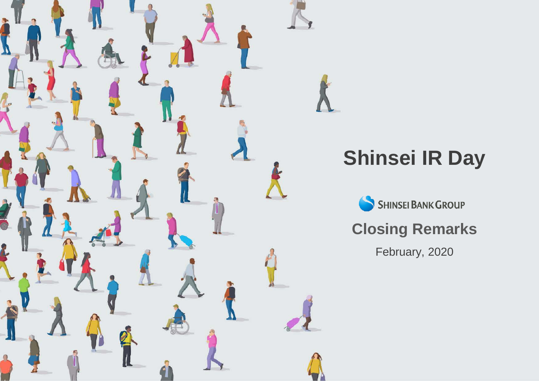

# **Shinsei IR Day**

SHINSEI BANK GROUP

## **Closing Remarks**

February, 2020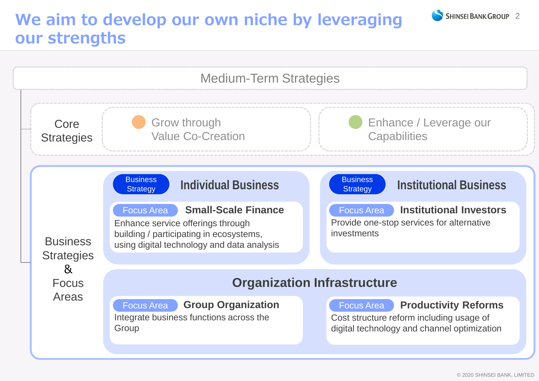## **We aim to develop our own niche by leveraging our strengths**



SHINSEL BANK GROUP 2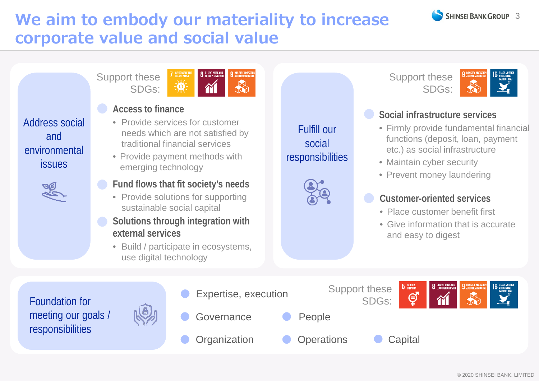

## **We aim to embody our materiality to increase corporate value and social value**

Support these SDGs:



### **Access to finance**

- Provide services for customer needs which are not satisfied by traditional financial services
- Provide payment methods with emerging technology
- **Fund flows that fit society's needs**
- Provide solutions for supporting sustainable social capital
- **Solutions through integration with external services**
	- Build / participate in ecosystems, use digital technology

Fulfill our social responsibilities



**Social infrastructure services**

SDGs:

Support these

- Firmly provide fundamental financial functions (deposit, loan, payment etc.) as social infrastructure
- Maintain cyber security
- Prevent money laundering

#### **Customer-oriented services**

- Place customer benefit first
- Give information that is accurate and easy to digest

Foundation for meeting our goals / responsibilities

Address social

and

environmental

issues





© 2020 SHINSEI BANK, LIMITED